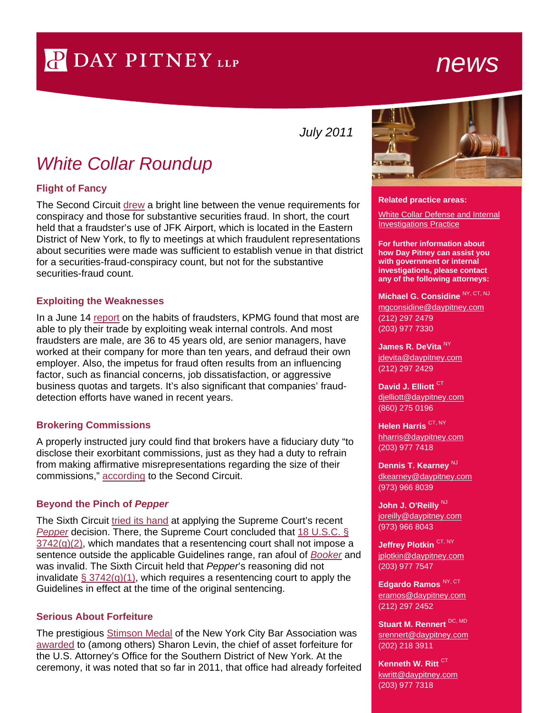# P DAY PITNEY LLP

## *news*

*July 2011*

## *White Collar Roundup*

### **Flight of Fancy**

The Second Circuit [drew](http://1.usa.gov/iYKrk0) a bright line between the venue requirements for conspiracy and those for substantive securities fraud. In short, the court held that a fraudster's use of JFK Airport, which is located in the Eastern District of New York, to fly to meetings at which fraudulent representations about securities were made was sufficient to establish venue in that district for a securities-fraud-conspiracy count, but not for the substantive securities-fraud count.

### **Exploiting the Weaknesses**

In a June 14 [report](http://bit.ly/j4lfGl) on the habits of fraudsters, KPMG found that most are able to ply their trade by exploiting weak internal controls. And most fraudsters are male, are 36 to 45 years old, are senior managers, have worked at their company for more than ten years, and defraud their own employer. Also, the impetus for fraud often results from an influencing factor, such as financial concerns, job dissatisfaction, or aggressive business quotas and targets. It's also significant that companies' frauddetection efforts have waned in recent years.

### **Brokering Commissions**

A properly instructed jury could find that brokers have a fiduciary duty "to disclose their exorbitant commissions, just as they had a duty to refrain from making affirmative misrepresentations regarding the size of their commissions," [according](http://1.usa.gov/mruSDT) to the Second Circuit.

### **Beyond the Pinch of** *Pepper*

The Sixth Circuit [tried its hand](http://1.usa.gov/kBym7q) at applying the Supreme Court's recent *[Pepper](http://bit.ly/kWyqu4)* decision. There, the Supreme Court concluded that [18 U.S.C. §](http://bit.ly/mzIT9Z)   $3742(g)(2)$ , which mandates that a resentencing court shall not impose a sentence outside the applicable Guidelines range, ran afoul of *[Booker](http://bit.ly/kkjuXf)* and was invalid. The Sixth Circuit held that *Pepper*'s reasoning did not invalidate  $\S 3742(q)(1)$ , which requires a resentencing court to apply the Guidelines in effect at the time of the original sentencing.

## **Serious About Forfeiture**

The prestigious **Stimson Medal** of the New York City Bar Association was [awarded](http://bit.ly/kXLRSY) to (among others) Sharon Levin, the chief of asset forfeiture for the U.S. Attorney's Office for the Southern District of New York. At the ceremony, it was noted that so far in 2011, that office had already forfeited



#### **Related practice areas:**

[White Collar Defense and Internal](http://www.daypitney.com/practices/practice-detail.aspx?pid=40) [Investigations Practice](http://www.daypitney.com/practices/practice-detail.aspx?pid=40)

**For further information about how Day Pitney can assist you with government or internal investigations, please contact any of the following attorneys:** 

## **[Michael G. Considine](http://www.daypitney.com/people/people-detail.aspx?practice=&proID=80)** NY, CT, NJ

[mgconsidine@daypitney.com](mailto:mgconsidine@daypitney.com) (212) 297 2479 (203) 977 7330

**[James R. DeVita](http://www.daypitney.com/people/people-detail.aspx?practice=&proID=590)**  $\mathsf{N}^{\mathsf{Y}}$ [jdevita@daypitney.com](mailto:jdevita@daypitney.com) (212) 297 2429

**[David J. Elliott](http://www.daypitney.com/people/people-detail.aspx?practice=&proID=32)** CT [djelliott@daypitney.com](mailto:djelliott@daypitney.com) (860) 275 0196

**[Helen Harris](http://www.daypitney.com/people/people-detail.aspx?practice=&proID=168)** CT, NY [hharris@daypitney.com](mailto:hharris@daypitney.com) (203) 977 7418

**[Dennis T. Kearney](http://www.daypitney.com/people/people-detail.aspx?practice=&proID=316)** NJ [dkearney@daypitney.com](mailto:dkearney@daypitney.com) (973) 966 8039

John J. [O'Reilly](http://www.daypitney.com/people/people-detail.aspx?practice=&proID=355)<sup>NJ</sup> [joreilly@daypitney.com](mailto:joreilly@daypitney.com) (973) 966 8043

[Jeffrey Plotkin](http://www.daypitney.com/people/people-detail.aspx?practice=&proID=364) CT, NY [jplotkin@daypitney.com](mailto:jplotkin@daypitney.com) (203) 977 7547

**[Edgardo Ramos](http://www.daypitney.com/people/people-detail.aspx?practice=&proID=129)** NY, CT [eramos@daypitney.com](mailto:eramos@daypitney.com) (212) 297 2452

**Stuart M. Rennert** DC, MD [srennert@daypitney.com](mailto:srennert@daypitney.com) (202) 218 3911

**Kenneth W. Ritt** CT [kwritt@daypitney.com](mailto:kwritt@daypitney.com) (203) 977 7318